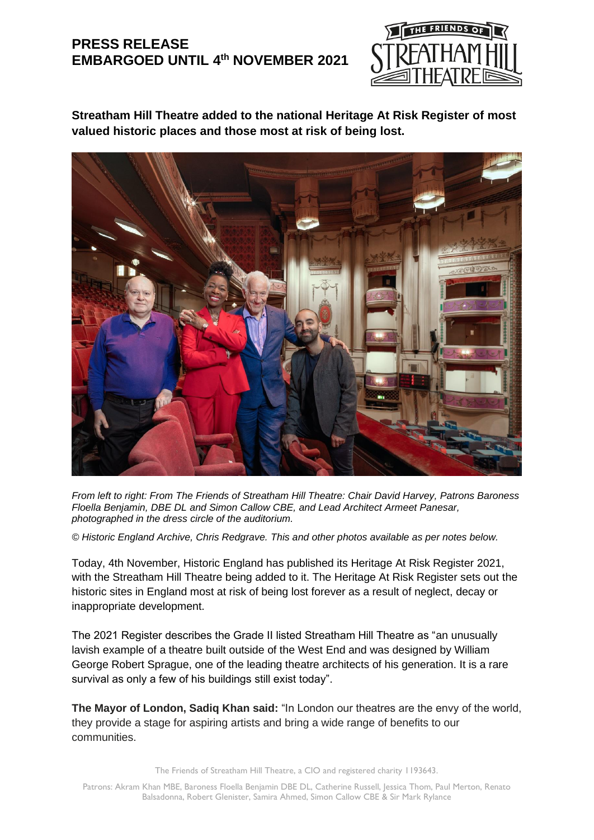# **PRESS RELEASE EMBARGOED UNTIL 4 th NOVEMBER 2021**



**Streatham Hill Theatre added to the national Heritage At Risk Register of most valued historic places and those most at risk of being lost.**



*From left to right: From The Friends of Streatham Hill Theatre: Chair David Harvey, Patrons Baroness Floella Benjamin, DBE DL and Simon Callow CBE, and Lead Architect Armeet Panesar, photographed in the dress circle of the auditorium.*

*© Historic England Archive, Chris Redgrave. This and other photos available as per notes below.*

Today, 4th November, Historic England has published its Heritage At Risk Register 2021, with the Streatham Hill Theatre being added to it. The Heritage At Risk Register sets out the historic sites in England most at risk of being lost forever as a result of neglect, decay or inappropriate development.

The 2021 Register describes the Grade II listed Streatham Hill Theatre as "an unusually lavish example of a theatre built outside of the West End and was designed by William George Robert Sprague, one of the leading theatre architects of his generation. It is a rare survival as only a few of his buildings still exist today".

**The Mayor of London, Sadiq Khan said:** "In London our theatres are the envy of the world, they provide a stage for aspiring artists and bring a wide range of benefits to our communities.

The Friends of Streatham Hill Theatre, a CIO and registered charity 1193643.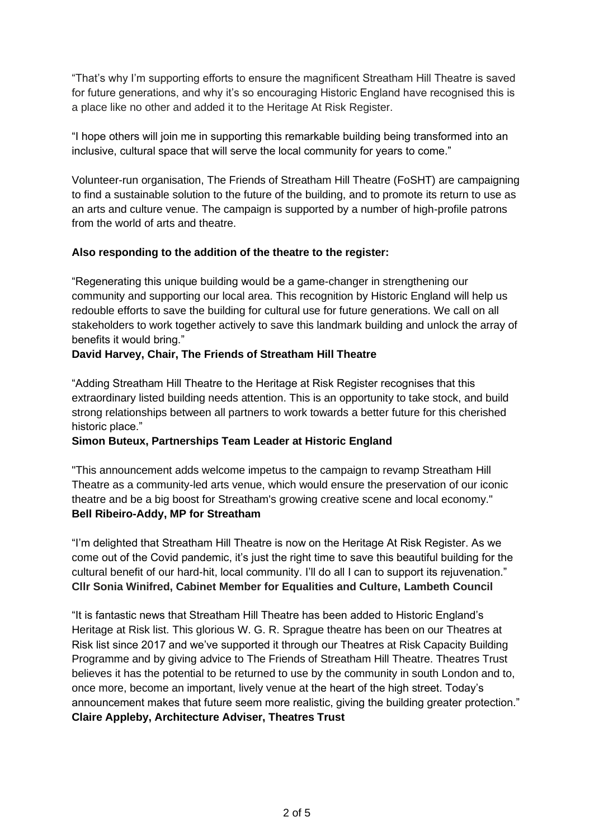"That's why I'm supporting efforts to ensure the magnificent Streatham Hill Theatre is saved for future generations, and why it's so encouraging Historic England have recognised this is a place like no other and added it to the Heritage At Risk Register.

"I hope others will join me in supporting this remarkable building being transformed into an inclusive, cultural space that will serve the local community for years to come."

Volunteer-run organisation, The Friends of Streatham Hill Theatre (FoSHT) are campaigning to find a sustainable solution to the future of the building, and to promote its return to use as an arts and culture venue. The campaign is supported by a number of high-profile patrons from the world of arts and theatre.

# **Also responding to the addition of the theatre to the register:**

"Regenerating this unique building would be a game-changer in strengthening our community and supporting our local area. This recognition by Historic England will help us redouble efforts to save the building for cultural use for future generations. We call on all stakeholders to work together actively to save this landmark building and unlock the array of benefits it would bring."

### **David Harvey, Chair, The Friends of Streatham Hill Theatre**

"Adding Streatham Hill Theatre to the Heritage at Risk Register recognises that this extraordinary listed building needs attention. This is an opportunity to take stock, and build strong relationships between all partners to work towards a better future for this cherished historic place."

# **Simon Buteux, Partnerships Team Leader at Historic England**

"This announcement adds welcome impetus to the campaign to revamp Streatham Hill Theatre as a community-led arts venue, which would ensure the preservation of our iconic theatre and be a big boost for Streatham's growing creative scene and local economy." **Bell Ribeiro-Addy, MP for Streatham**

"I'm delighted that Streatham Hill Theatre is now on the Heritage At Risk Register. As we come out of the Covid pandemic, it's just the right time to save this beautiful building for the cultural benefit of our hard-hit, local community. I'll do all I can to support its rejuvenation." **Cllr Sonia Winifred, Cabinet Member for Equalities and Culture, Lambeth Council**

"It is fantastic news that Streatham Hill Theatre has been added to Historic England's Heritage at Risk list. This glorious W. G. R. Sprague theatre has been on our Theatres at Risk list since 2017 and we've supported it through our Theatres at Risk Capacity Building Programme and by giving advice to The Friends of Streatham Hill Theatre. Theatres Trust believes it has the potential to be returned to use by the community in south London and to, once more, become an important, lively venue at the heart of the high street. Today's announcement makes that future seem more realistic, giving the building greater protection." **Claire Appleby, Architecture Adviser, Theatres Trust**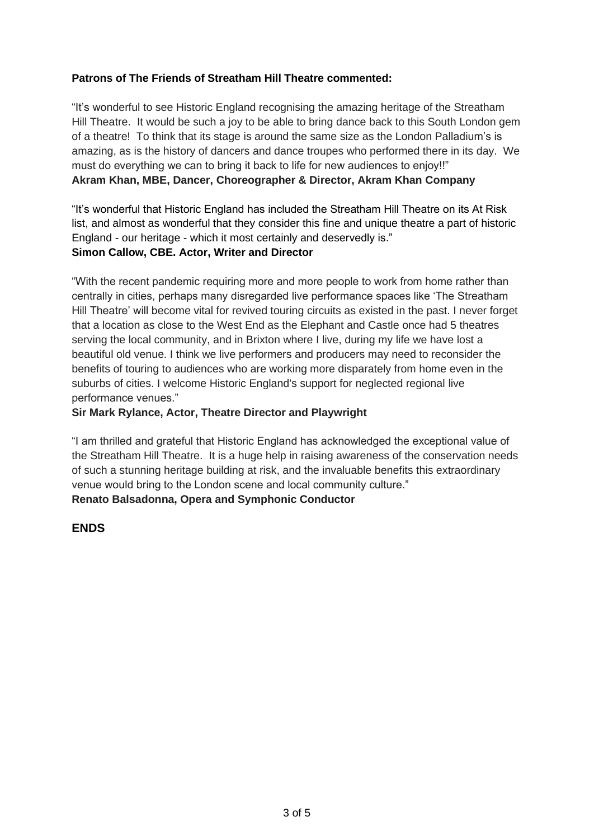### **Patrons of The Friends of Streatham Hill Theatre commented:**

"It's wonderful to see Historic England recognising the amazing heritage of the Streatham Hill Theatre. It would be such a joy to be able to bring dance back to this South London gem of a theatre! To think that its stage is around the same size as the London Palladium's is amazing, as is the history of dancers and dance troupes who performed there in its day. We must do everything we can to bring it back to life for new audiences to enjoy!!" **Akram Khan, MBE, Dancer, Choreographer & Director, Akram Khan Company**

"It's wonderful that Historic England has included the Streatham Hill Theatre on its At Risk list, and almost as wonderful that they consider this fine and unique theatre a part of historic England - our heritage - which it most certainly and deservedly is."

### **Simon Callow, CBE. Actor, Writer and Director**

"With the recent pandemic requiring more and more people to work from home rather than centrally in cities, perhaps many disregarded live performance spaces like 'The Streatham Hill Theatre' will become vital for revived touring circuits as existed in the past. I never forget that a location as close to the West End as the Elephant and Castle once had 5 theatres serving the local community, and in Brixton where I live, during my life we have lost a beautiful old venue. I think we live performers and producers may need to reconsider the benefits of touring to audiences who are working more disparately from home even in the suburbs of cities. I welcome Historic England's support for neglected regional live performance venues."

### **Sir Mark Rylance, Actor, Theatre Director and Playwright**

"I am thrilled and grateful that Historic England has acknowledged the exceptional value of the Streatham Hill Theatre. It is a huge help in raising awareness of the conservation needs of such a stunning heritage building at risk, and the invaluable benefits this extraordinary venue would bring to the London scene and local community culture." **Renato Balsadonna, Opera and Symphonic Conductor**

### **ENDS**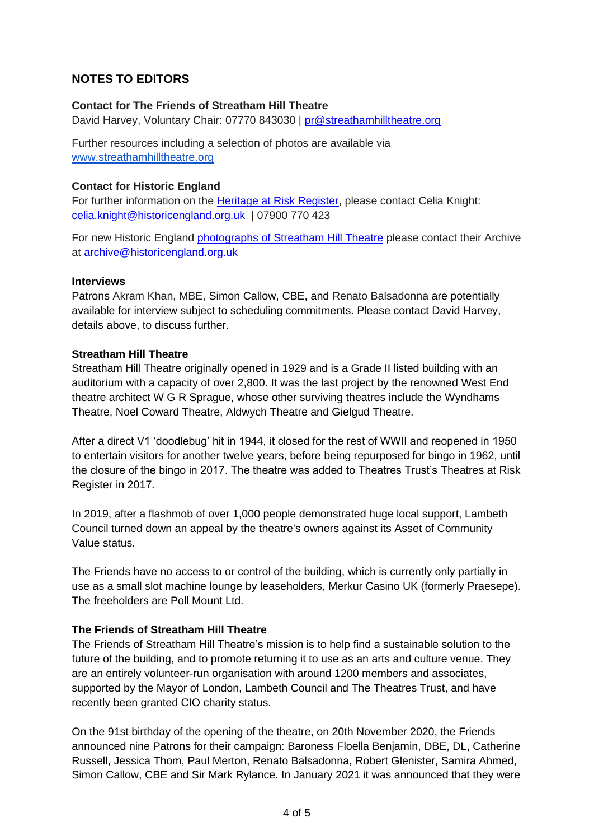# **NOTES TO EDITORS**

### **Contact for The Friends of Streatham Hill Theatre**

David Harvey, Voluntary Chair: 07770 843030 | [pr@streathamhilltheatre.org](mailto:pr@streathamhilltheatre.org)

Further resources including a selection of photos are available via [www.streathamhilltheatre.org](http://www.streathamhilltheatre.org/)

# **Contact for Historic England**

For further information on the **Heritage at Risk Register**, please contact Celia Knight: [celia.knight@historicengland.org.uk](mailto:celia.knight@historicengland.org.uk) | 07900 770 423

For new Historic England [photographs of Streatham Hill Theatre](https://historicengland.org.uk/images-books/photos/results/?searchType=HE%20Archive&search=Parent:115528071) please contact their Archive at [archive@historicengland.org.uk](mailto:archive@historicengland.org.uk)

### **Interviews**

Patrons Akram Khan, MBE, Simon Callow, CBE, and Renato Balsadonna are potentially available for interview subject to scheduling commitments. Please contact David Harvey, details above, to discuss further.

# **Streatham Hill Theatre**

Streatham Hill Theatre originally opened in 1929 and is a Grade II listed building with an auditorium with a capacity of over 2,800. It was the last project by the renowned West End theatre architect W G R Sprague, whose other surviving theatres include the Wyndhams Theatre, Noel Coward Theatre, Aldwych Theatre and Gielgud Theatre.

After a direct V1 'doodlebug' hit in 1944, it closed for the rest of WWII and reopened in 1950 to entertain visitors for another twelve years, before being repurposed for bingo in 1962, until the closure of the bingo in 2017. The theatre was added to Theatres Trust's Theatres at Risk Register in 2017.

In 2019, after a flashmob of over 1,000 people demonstrated huge local support, Lambeth Council turned down an appeal by the theatre's owners against its Asset of Community Value status.

The Friends have no access to or control of the building, which is currently only partially in use as a small slot machine lounge by leaseholders, Merkur Casino UK (formerly Praesepe). The freeholders are Poll Mount Ltd.

# **The Friends of Streatham Hill Theatre**

The Friends of Streatham Hill Theatre's mission is to help find a sustainable solution to the future of the building, and to promote returning it to use as an arts and culture venue. They are an entirely volunteer-run organisation with around 1200 members and associates, supported by the Mayor of London, Lambeth Council and The Theatres Trust, and have recently been granted CIO charity status.

On the 91st birthday of the opening of the theatre, on 20th November 2020, the Friends announced nine Patrons for their campaign: Baroness Floella Benjamin, DBE, DL, Catherine Russell, Jessica Thom, Paul Merton, Renato Balsadonna, Robert Glenister, Samira Ahmed, Simon Callow, CBE and Sir Mark Rylance. In January 2021 it was announced that they were